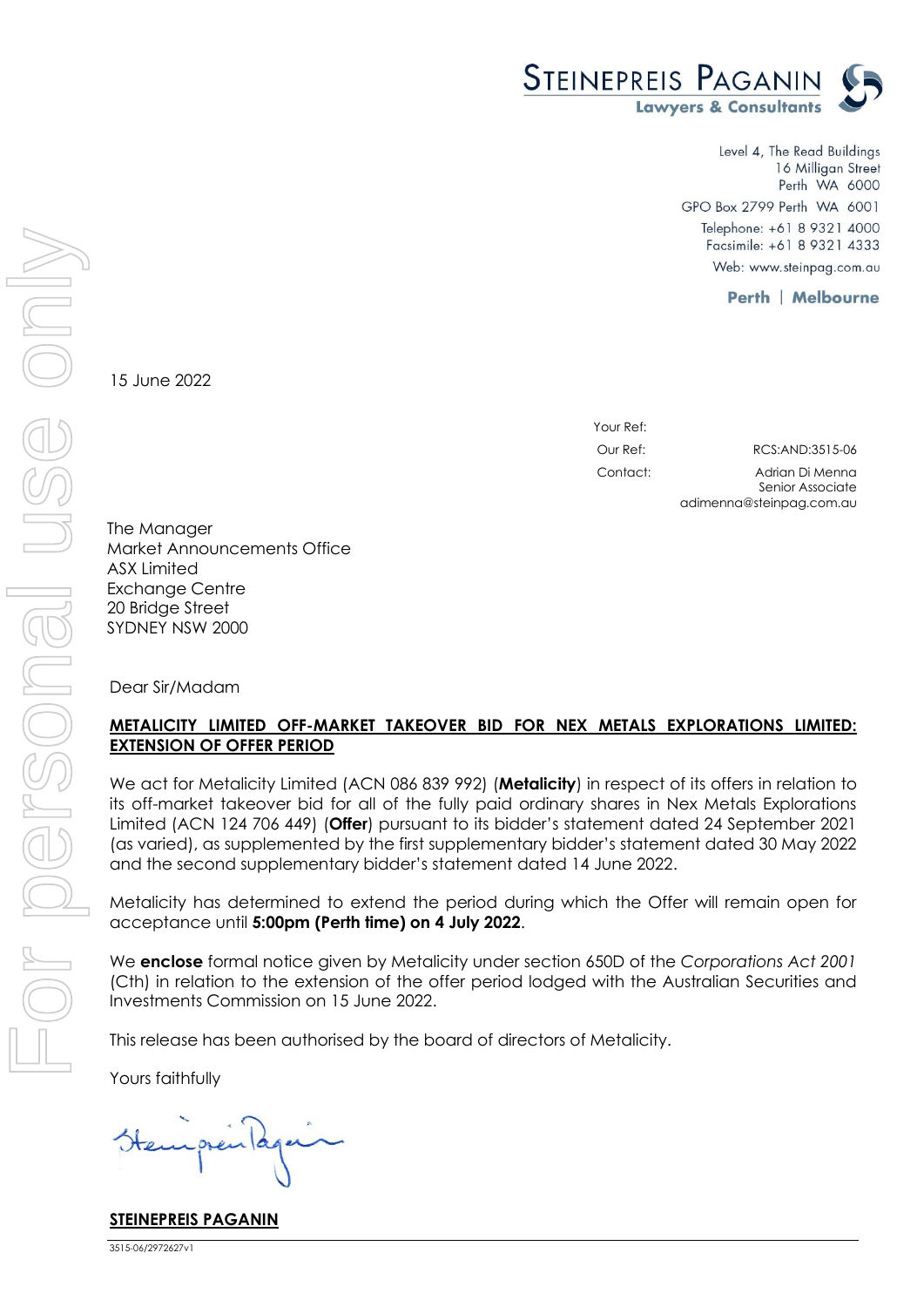

Level 4, The Read Buildings 16 Milligan Street Perth WA 6000 GPO Box 2799 Perth WA 6001 Telephone: +61 8 9321 4000 Facsimile: +61 8 9321 4333 Web: www.steinpag.com.au

**Perth | Melbourne** 

15 June 2022

Your Ref: Our Ref: RCS:AND:3515-06 Contact: Adrian Di Menna Senior Associate

adimenna@steinpag.com.au

The Manager Market Announcements Office ASX Limited Exchange Centre 20 Bridge Street SYDNEY NSW 2000

Dear Sir/Madam

## **METALICITY LIMITED OFF-MARKET TAKEOVER BID FOR NEX METALS EXPLORATIONS LIMITED: EXTENSION OF OFFER PERIOD**

We act for Metalicity Limited (ACN 086 839 992) (**Metalicity**) in respect of its offers in relation to its off-market takeover bid for all of the fully paid ordinary shares in Nex Metals Explorations Limited (ACN 124 706 449) (**Offer**) pursuant to its bidder's statement dated 24 September 2021 (as varied), as supplemented by the first supplementary bidder's statement dated 30 May 2022 and the second supplementary bidder's statement dated 14 June 2022.

Metalicity has determined to extend the period during which the Offer will remain open for acceptance until **5:00pm (Perth time) on 4 July 2022**.

We **enclose** formal notice given by Metalicity under section 650D of the *Corporations Act 2001* (Cth) in relation to the extension of the offer period lodged with the Australian Securities and Investments Commission on 15 June 2022.

This release has been authorised by the board of directors of Metalicity.

Yours faithfully

**STEINEPREIS PAGANIN**

3515-06/2972627v1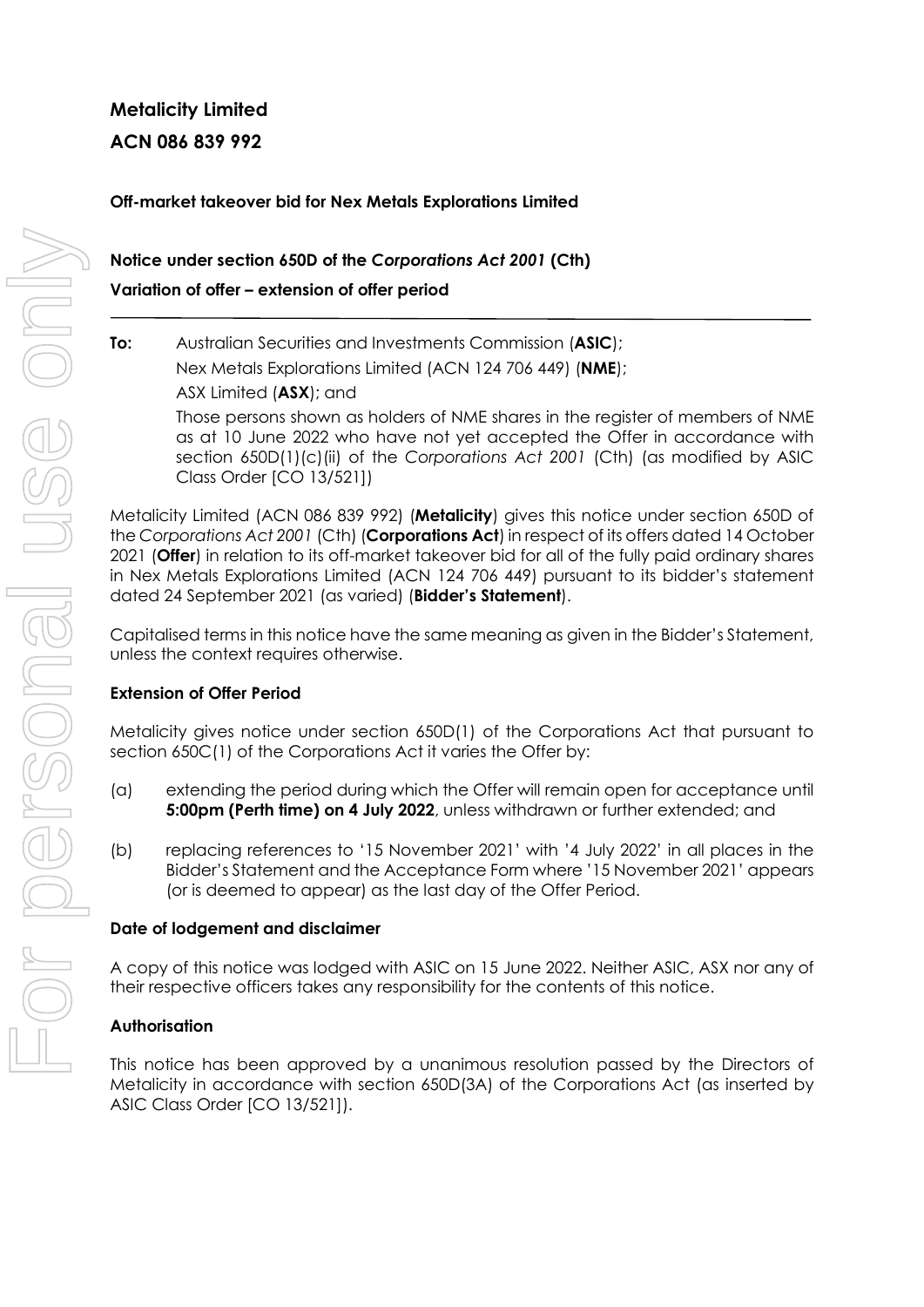# **Metalicity Limited ACN 086 839 992**

## **Off-market takeover bid for Nex Metals Explorations Limited**

## **Notice under section 650D of the** *Corporations Act 2001* **(Cth) Variation of offer – extension of offer period**

### **To:** Australian Securities and Investments Commission (**ASIC**);

Nex Metals Explorations Limited (ACN 124 706 449) (**NME**);

ASX Limited (**ASX**); and

Those persons shown as holders of NME shares in the register of members of NME as at 10 June 2022 who have not yet accepted the Offer in accordance with section 650D(1)(c)(ii) of the *Corporations Act 2001* (Cth) (as modified by ASIC Class Order [CO 13/521])

Metalicity Limited (ACN 086 839 992) (**Metalicity**) gives this notice under section 650D of the *Corporations Act 2001* (Cth) (**Corporations Act**) in respect of its offers dated 14 October 2021 (**Offer**) in relation to its off-market takeover bid for all of the fully paid ordinary shares in Nex Metals Explorations Limited (ACN 124 706 449) pursuant to its bidder's statement dated 24 September 2021 (as varied) (**Bidder's Statement**).

Capitalised terms in this notice have the same meaning as given in the Bidder's Statement, unless the context requires otherwise.

#### **Extension of Offer Period**

Metalicity gives notice under section 650D(1) of the Corporations Act that pursuant to section 650C(1) of the Corporations Act it varies the Offer by:

- (a) extending the period during which the Offer will remain open for acceptance until **5:00pm (Perth time) on 4 July 2022**, unless withdrawn or further extended; and
- (b) replacing references to '15 November 2021' with '4 July 2022' in all places in the Bidder's Statement and the Acceptance Form where '15 November 2021' appears (or is deemed to appear) as the last day of the Offer Period.

#### **Date of lodgement and disclaimer**

A copy of this notice was lodged with ASIC on 15 June 2022. Neither ASIC, ASX nor any of their respective officers takes any responsibility for the contents of this notice.

#### **Authorisation**

This notice has been approved by a unanimous resolution passed by the Directors of Metalicity in accordance with section 650D(3A) of the Corporations Act (as inserted by ASIC Class Order [CO 13/521]).